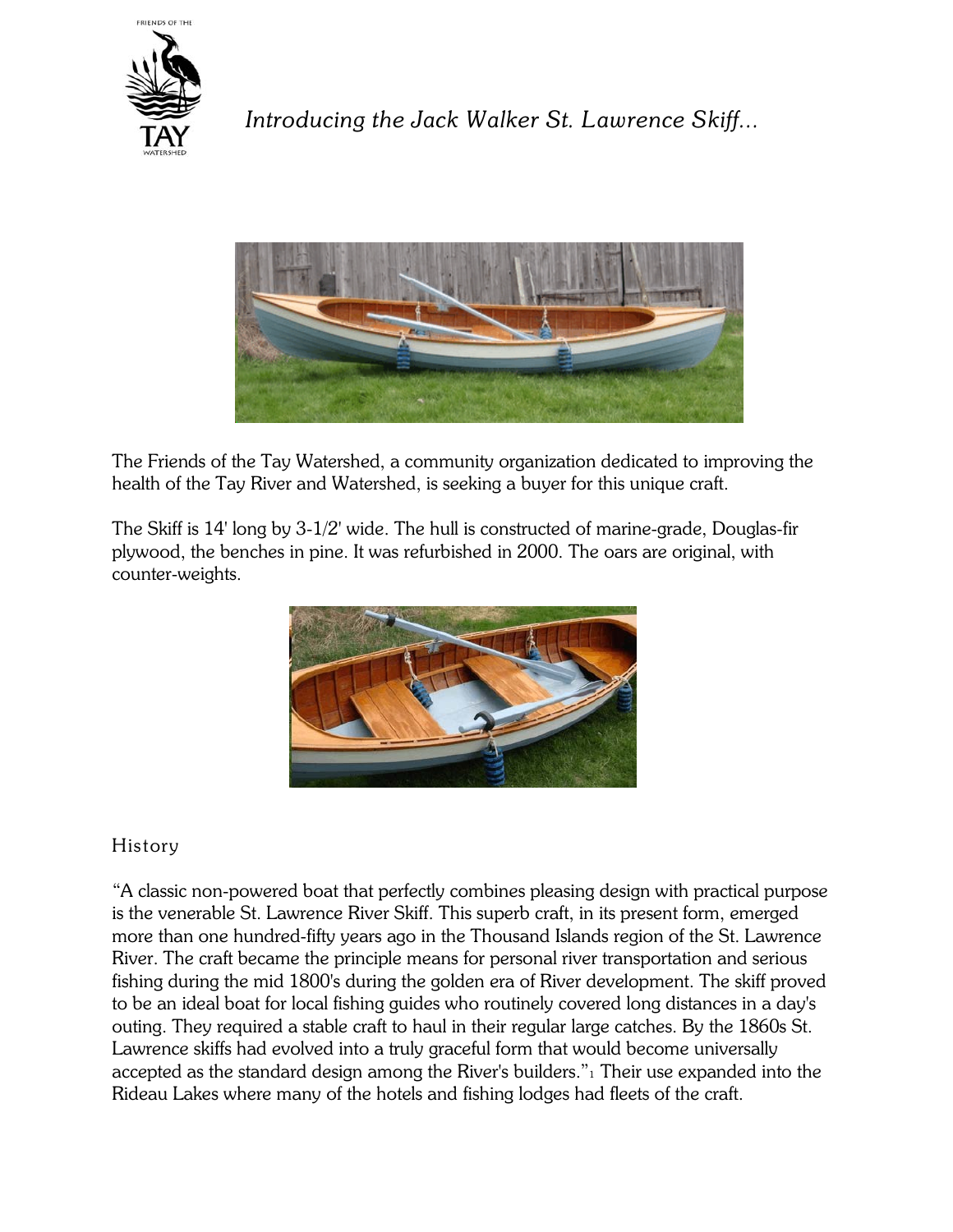

*Introducing the Jack Walker St. Lawrence Skiff...*



The Friends of the Tay Watershed, a community organization dedicated to improving the health of the Tay River and Watershed, is seeking a buyer for this unique craft.

The Skiff is 14' long by 3-1/2' wide. The hull is constructed of marine-grade, Douglas-fir plywood, the benches in pine. It was refurbished in 2000. The oars are original, with counter-weights.



## History

"A classic non-powered boat that perfectly combines pleasing design with practical purpose is the venerable St. Lawrence River Skiff. This superb craft, in its present form, emerged more than one hundred-fifty years ago in the Thousand Islands region of the St. Lawrence River. The craft became the principle means for personal river transportation and serious fishing during the mid 1800's during the golden era of River development. The skiff proved to be an ideal boat for local fishing guides who routinely covered long distances in a day's outing. They required a stable craft to haul in their regular large catches. By the 1860s St. Lawrence skiffs had evolved into a truly graceful form that would become universally accepted as the standard design among the River's builders."<sub>1</sub> Their use expanded into the Rideau Lakes where many of the hotels and fishing lodges had fleets of the craft.